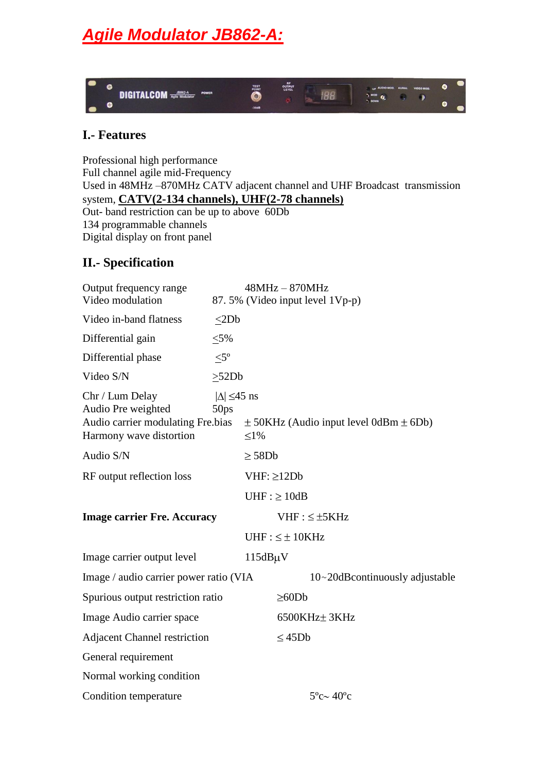# *Agile Modulator JB862-A:*



### **I.- Features**

Professional high performance Full channel agile mid-Frequency Used in 48MHz –870MHz CATV adjacent channel and UHF Broadcast transmission system, **CATV(2-134 channels), UHF(2-78 channels)** Out- band restriction can be up to above 60Db 134 programmable channels Digital display on front panel

## **II.- Specification**

| Output frequency range<br>Video modulation                                                            |                                           | $48MHz - 870MHz$<br>87.5% (Video input level 1Vp-p) |                                                |  |
|-------------------------------------------------------------------------------------------------------|-------------------------------------------|-----------------------------------------------------|------------------------------------------------|--|
| Video in-band flatness                                                                                | <2Db                                      |                                                     |                                                |  |
| Differential gain                                                                                     | $< 5\%$                                   |                                                     |                                                |  |
| Differential phase                                                                                    | $<$ 5 $^{\circ}$                          |                                                     |                                                |  |
| Video S/N                                                                                             | >52Db                                     |                                                     |                                                |  |
| Chr / Lum Delay<br>Audio Pre weighted<br>Audio carrier modulating Fre.bias<br>Harmony wave distortion | $ \Delta  \leq 45$ ns<br>50 <sub>ps</sub> | $\leq1\%$                                           | $\pm$ 50KHz (Audio input level 0dBm $\pm$ 6Db) |  |
| Audio S/N                                                                                             |                                           | $\geq$ 58Db                                         |                                                |  |
| RF output reflection loss                                                                             |                                           | $VHF: \geq 12Db$                                    |                                                |  |
|                                                                                                       |                                           | $UHF : \geq 10dB$                                   |                                                |  |
| <b>Image carrier Fre. Accuracy</b>                                                                    |                                           |                                                     | $VHF: \leq \pm 5KHz$                           |  |
|                                                                                                       |                                           | $UHF: \leq \pm 10KHz$                               |                                                |  |
| Image carrier output level                                                                            |                                           | $115dB\mu V$                                        |                                                |  |
| Image / audio carrier power ratio (VIA                                                                |                                           |                                                     | $10~20$ dBcontinuously adjustable              |  |
| Spurious output restriction ratio                                                                     |                                           | $\geq 60Db$                                         |                                                |  |
| Image Audio carrier space                                                                             |                                           |                                                     | 6500KHz± 3KHz                                  |  |
| <b>Adjacent Channel restriction</b>                                                                   |                                           | $\leq 45Db$                                         |                                                |  |
| General requirement                                                                                   |                                           |                                                     |                                                |  |
| Normal working condition                                                                              |                                           |                                                     |                                                |  |
| Condition temperature                                                                                 |                                           |                                                     | $5^{\circ}$ c $\sim$ 40 $^{\circ}$ c           |  |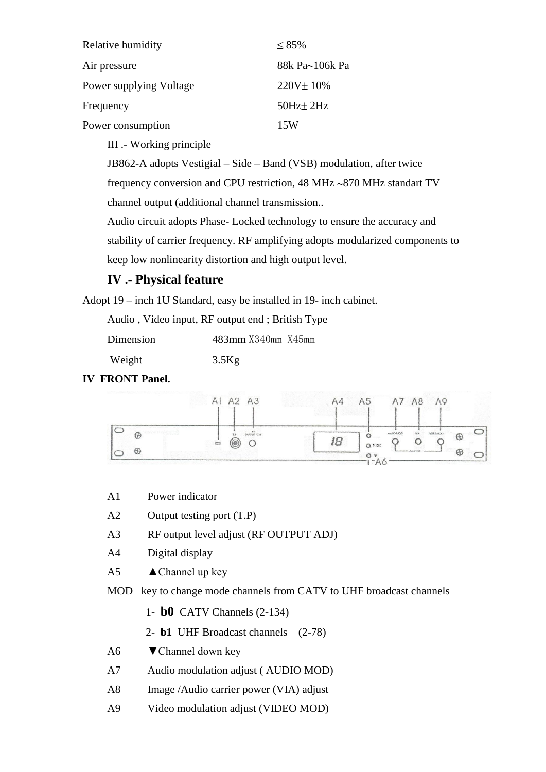| Relative humidity       | $\leq 85\%$     |
|-------------------------|-----------------|
| Air pressure            | 88k Pa~106k Pa  |
| Power supplying Voltage | $220V \pm 10\%$ |
| Frequency               | $50Hz \pm 2Hz$  |
| Power consumption       | 15W             |

III .- Working principle

JB862-A adopts Vestigial – Side – Band (VSB) modulation, after twice

frequency conversion and CPU restriction,  $48$  MHz  $\sim$ 870 MHz standart TV

channel output (additional channel transmission..

Audio circuit adopts Phase- Locked technology to ensure the accuracy and stability of carrier frequency. RF amplifying adopts modularized components to keep low nonlinearity distortion and high output level.

# **IV .- Physical feature**

Adopt 19 – inch 1U Standard, easy be installed in 19- inch cabinet.

Audio , Video input, RF output end ; British Type

| Dimension<br>483mm X340mm X45mm |
|---------------------------------|
|---------------------------------|

| Weight | $3.5$ Kg |
|--------|----------|
|        |          |

#### **IV FRONT Panel.**



- A1 Power indicator
- A2 Output testing port (T.P)
- A3 RF output level adjust (RF OUTPUT ADJ)
- A4 Digital display
- A5  $\triangle$  Channel up key
- MOD key to change mode channels from CATV to UHF broadcast channels
	- 1- **b0** CATV Channels (2-134)
	- 2- **b1** UHF Broadcast channels (2-78)
- A6  $\blacktriangledown$  Channel down key
- A7 Audio modulation adjust ( AUDIO MOD)
- A8 Image /Audio carrier power (VIA) adjust
- A9 Video modulation adjust (VIDEO MOD)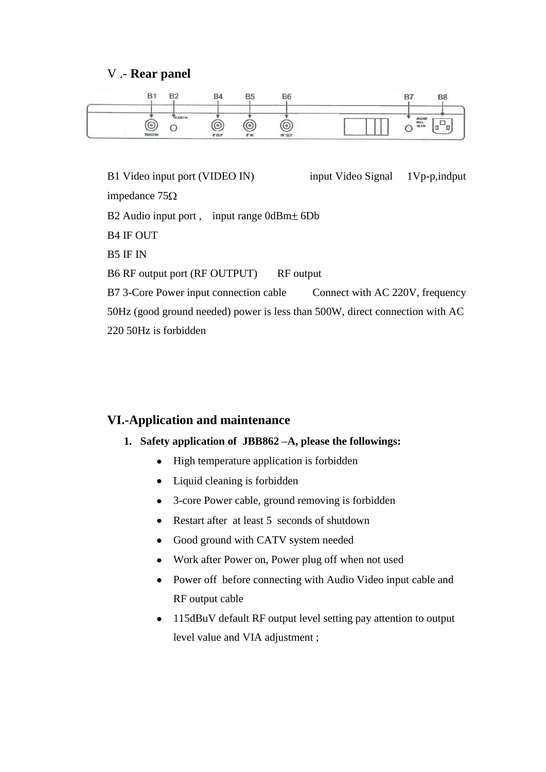#### V .- **Rear panel**



B1 Video input port (VIDEO IN) input Video Signal 1Vp-p, indput impedance  $75\Omega$ B2 Audio input port, input range  $0dBm<sub>±</sub> 6Db$ B4 IF OUT B5 IF IN B6 RF output port (RF OUTPUT) RF output B7 3-Core Power input connection cable Connect with AC 220V, frequency 50Hz (good ground needed) power is less than 500W, direct connection with AC 220 50Hz is forbidden

#### **VI.-Application and maintenance**

#### **1. Safety application of JBB862 –A, please the followings:**

- High temperature application is forbidden
- Liquid cleaning is forbidden
- 3-core Power cable, ground removing is forbidden  $\bullet$
- Restart after at least 5 seconds of shutdown  $\bullet$
- Good ground with CATV system needed  $\bullet$
- Work after Power on, Power plug off when not used  $\bullet$
- Power off before connecting with Audio Video input cable and  $\bullet$ RF output cable
- 115dBuV default RF output level setting pay attention to output  $\bullet$ level value and VIA adjustment ;